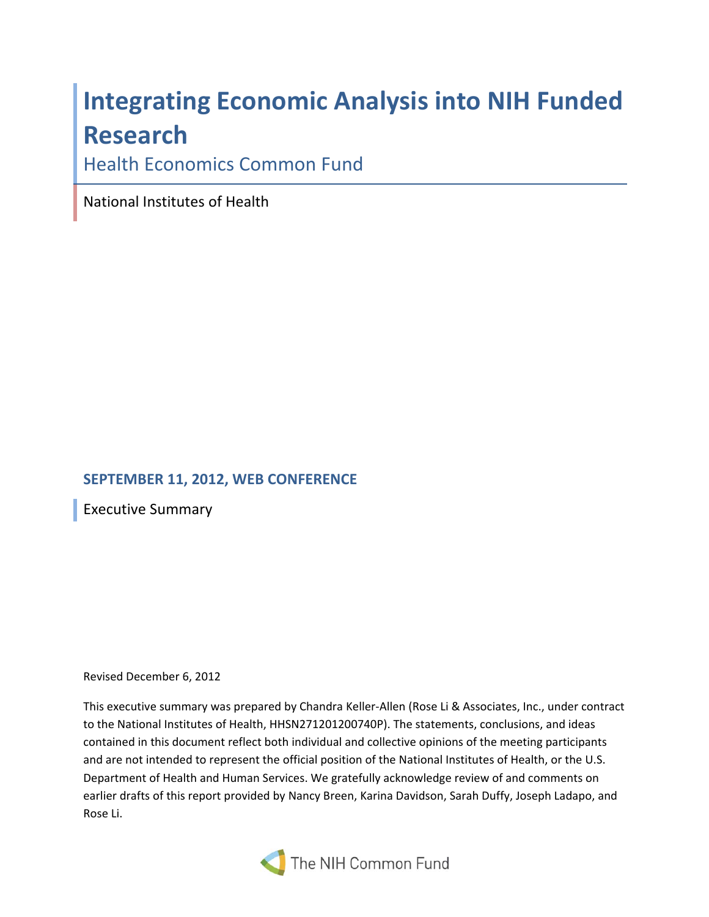# **Integrating Economic Analysis into NIH Funded Research**

Health Economics Common Fund

National Institutes of Health

# **SEPTEMBER 11, 2012, WEB CONFERENCE**

Executive Summary

#### Revised December 6, 2012

 This executive summary was prepared by Chandra Keller‐Allen (Rose Li & Associates, Inc., under contract to the National Institutes of Health, HHSN271201200740P). The statements, conclusions, and ideas contained in this document reflect both individual and collective opinions of the meeting participants and are not intended to represent the official position of the National Institutes of Health, or the U.S. Department of Health and Human Services. We gratefully acknowledge review of and comments on earlier drafts of this report provided by Nancy Breen, Karina Davidson, Sarah Duffy, Joseph Ladapo, and Rose Li.

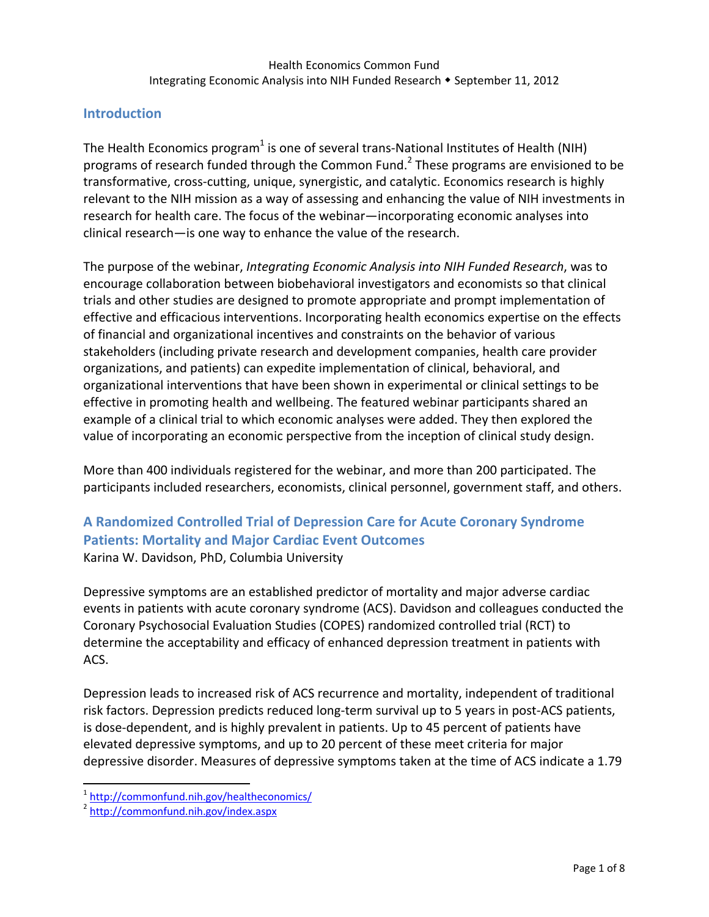# **Introduction**

The Health Economics program<sup>1</sup> is one of several trans-National Institutes of Health (NIH) programs of research funded through the Common Fund.<sup>2</sup> These programs are envisioned to be transformative, cross‐cutting, unique, synergistic, and catalytic. Economics research is highly relevant to the NIH mission as a way of assessing and enhancing the value of NIH investments in research for health care. The focus of the webinar—incorporating economic analyses into clinical research—is one way to enhance the value of the research.

  The purpose of the webinar, *Integrating Economic Analysis into NIH Funded Research*, was to encourage collaboration between biobehavioral investigators and economists so that clinical trials and other studies are designed to promote appropriate and prompt implementation of effective and efficacious interventions. Incorporating health economics expertise on the effects of financial and organizational incentives and constraints on the behavior of various stakeholders (including private research and development companies, health care provider organizations, and patients) can expedite implementation of clinical, behavioral, and organizational interventions that have been shown in experimental or clinical settings to be effective in promoting health and wellbeing. The featured webinar participants shared an example of a clinical trial to which economic analyses were added. They then explored the value of incorporating an economic perspective from the inception of clinical study design.

 More than 400 individuals registered for the webinar, and more than 200 participated. The participants included researchers, economists, clinical personnel, government staff, and others.

# **A Randomized Controlled Trial of Depression Care for Acute Coronary Syndrome Patients: Mortality and Major Cardiac Event Outcomes**

Karina W. Davidson, PhD, Columbia University

 Depressive symptoms are an established predictor of mortality and major adverse cardiac events in patients with acute coronary syndrome (ACS). Davidson and colleagues conducted the Coronary Psychosocial Evaluation Studies (COPES) randomized controlled trial (RCT) to determine the acceptability and efficacy of enhanced depression treatment in patients with ACS.

 Depression leads to increased risk of ACS recurrence and mortality, independent of traditional risk factors. Depression predicts reduced long‐term survival up to 5 years in post‐ACS patients, is dose‐dependent, and is highly prevalent in patients. Up to 45 percent of patients have elevated depressive symptoms, and up to 20 percent of these meet criteria for major depressive disorder. Measures of depressive symptoms taken at the time of ACS indicate a 1.79

<sup>&</sup>lt;sup>1</sup> http://commonfund.nih.gov/healtheconomics/<br><sup>2</sup> http://commonfund.nih.gov/index.aspx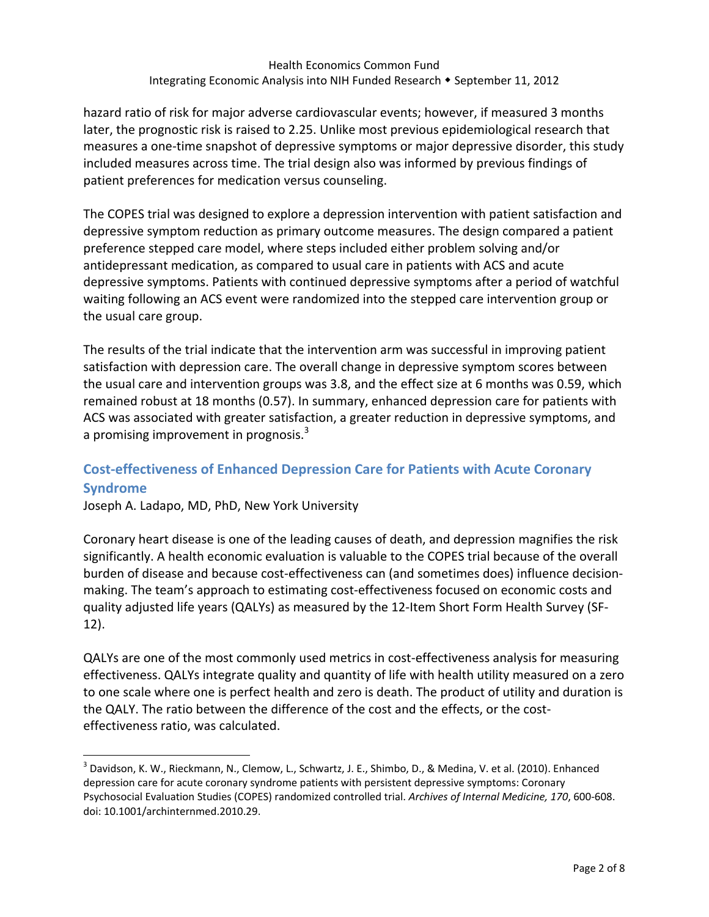hazard ratio of risk for major adverse cardiovascular events; however, if measured 3 months later, the prognostic risk is raised to 2.25. Unlike most previous epidemiological research that measures a one‐time snapshot of depressive symptoms or major depressive disorder, this study included measures across time. The trial design also was informed by previous findings of patient preferences for medication versus counseling.

 The COPES trial was designed to explore a depression intervention with patient satisfaction and depressive symptom reduction as primary outcome measures. The design compared a patient preference stepped care model, where steps included either problem solving and/or antidepressant medication, as compared to usual care in patients with ACS and acute waiting following an ACS event were randomized into the stepped care intervention group or the usual care group. depressive symptoms. Patients with continued depressive symptoms after a period of watchful

 The results of the trial indicate that the intervention arm was successful in improving patient satisfaction with depression care. The overall change in depressive symptom scores between the usual care and intervention groups was 3.8, and the effect size at 6 months was 0.59, which remained robust at 18 months (0.57). In summary, enhanced depression care for patients with ACS was associated with greater satisfaction, a greater reduction in depressive symptoms, and a promising improvement in prognosis.<sup>3</sup>

# **Cost‐effectiveness of Enhanced Depression Care for Patients with Acute Coronary Syndrome**

Joseph A. Ladapo, MD, PhD, New York University

 Coronary heart disease is one of the leading causes of death, and depression magnifies the risk significantly. A health economic evaluation is valuable to the COPES trial because of the overall burden of disease and because cost‐effectiveness can (and sometimes does) influence decision‐ making. The team's approach to estimating cost‐effectiveness focused on economic costs and quality adjusted life years (QALYs) as measured by the 12‐Item Short Form Health Survey (SF‐ 12).

 QALYs are one of the most commonly used metrics in cost‐effectiveness analysis for measuring effectiveness. QALYs integrate quality and quantity of life with health utility measured on a zero to one scale where one is perfect health and zero is death. The product of utility and duration is the QALY. The ratio between the difference of the cost and the effects, or the cost‐ effectiveness ratio, was calculated.

 $^3$  Davidson, K. W., Rieckmann, N., Clemow, L., Schwartz, J. E., Shimbo, D., & Medina, V. et al. (2010). Enhanced depression care for acute coronary syndrome patients with persistent depressive symptoms: Coronary  Psychosocial Evaluation Studies (COPES) randomized controlled trial. *Archives of Internal Medicine, 170*, 600‐608. doi: 10.1001/archinternmed.2010.29.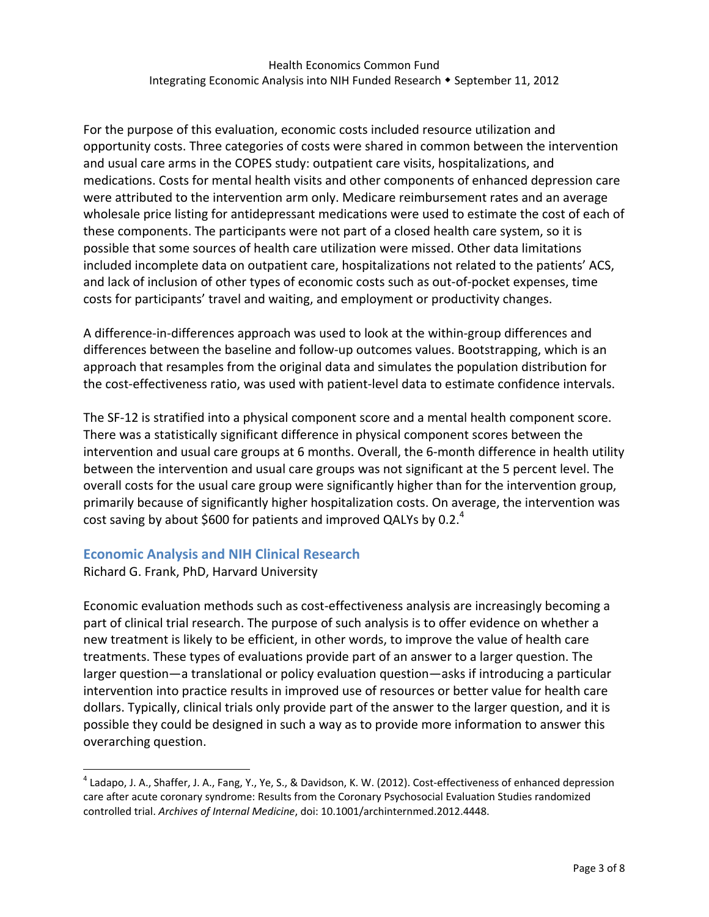For the purpose of this evaluation, economic costs included resource utilization and opportunity costs. Three categories of costs were shared in common between the intervention and usual care arms in the COPES study: outpatient care visits, hospitalizations, and medications. Costs for mental health visits and other components of enhanced depression care were attributed to the intervention arm only. Medicare reimbursement rates and an average wholesale price listing for antidepressant medications were used to estimate the cost of each of these components. The participants were not part of a closed health care system, so it is possible that some sources of health care utilization were missed. Other data limitations included incomplete data on outpatient care, hospitalizations not related to the patients' ACS, and lack of inclusion of other types of economic costs such as out‐of‐pocket expenses, time costs for participants' travel and waiting, and employment or productivity changes.

 A difference‐in‐differences approach was used to look at the within‐group differences and differences between the baseline and follow‐up outcomes values. Bootstrapping, which is an approach that resamples from the original data and simulates the population distribution for the cost‐effectiveness ratio, was used with patient‐level data to estimate confidence intervals.

 The SF‐12 is stratified into a physical component score and a mental health component score. There was a statistically significant difference in physical component scores between the intervention and usual care groups at 6 months. Overall, the 6‐month difference in health utility between the intervention and usual care groups was not significant at the 5 percent level. The overall costs for the usual care group were significantly higher than for the intervention group, primarily because of significantly higher hospitalization costs. On average, the intervention was cost saving by about \$600 for patients and improved QALYs by 0.2. $^4$ 

# **Economic Analysis and NIH Clinical Research**

Richard G. Frank, PhD, Harvard University

 Economic evaluation methods such as cost‐effectiveness analysis are increasingly becoming a part of clinical trial research. The purpose of such analysis is to offer evidence on whether a new treatment is likely to be efficient, in other words, to improve the value of health care treatments. These types of evaluations provide part of an answer to a larger question. The larger question—a translational or policy evaluation question—asks if introducing a particular intervention into practice results in improved use of resources or better value for health care dollars. Typically, clinical trials only provide part of the answer to the larger question, and it is possible they could be designed in such a way as to provide more information to answer this overarching question.

 $^4$  Ladapo, J. A., Shaffer, J. A., Fang, Y., Ye, S., & Davidson, K. W. (2012). Cost-effectiveness of enhanced depression care after acute coronary syndrome: Results from the Coronary Psychosocial Evaluation Studies randomized  controlled trial. *Archives of Internal Medicine*, doi: 10.1001/archinternmed.2012.4448.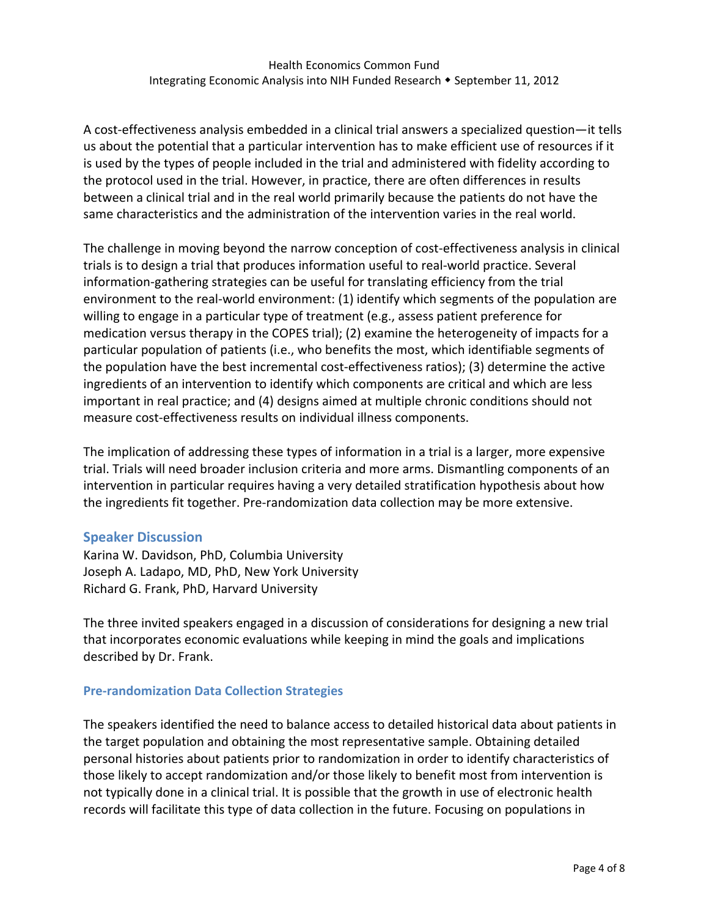A cost-effectiveness analysis embedded in a clinical trial answers a specialized question—it tells us about the potential that a particular intervention has to make efficient use of resources if it is used by the types of people included in the trial and administered with fidelity according to the protocol used in the trial. However, in practice, there are often differences in results between a clinical trial and in the real world primarily because the patients do not have the same characteristics and the administration of the intervention varies in the real world.

 The challenge in moving beyond the narrow conception of cost‐effectiveness analysis in clinical trials is to design a trial that produces information useful to real‐world practice. Several information‐gathering strategies can be useful for translating efficiency from the trial environment to the real‐world environment: (1) identify which segments of the population are willing to engage in a particular type of treatment (e.g., assess patient preference for medication versus therapy in the COPES trial); (2) examine the heterogeneity of impacts for a particular population of patients (i.e., who benefits the most, which identifiable segments of the population have the best incremental cost‐effectiveness ratios); (3) determine the active ingredients of an intervention to identify which components are critical and which are less important in real practice; and (4) designs aimed at multiple chronic conditions should not measure cost‐effectiveness results on individual illness components.

 The implication of addressing these types of information in a trial is a larger, more expensive trial. Trials will need broader inclusion criteria and more arms. Dismantling components of an intervention in particular requires having a very detailed stratification hypothesis about how the ingredients fit together. Pre‐randomization data collection may be more extensive.

# **Speaker Discussion**

 Karina W. Davidson, PhD, Columbia University Joseph A. Ladapo, MD, PhD, New York University Richard G. Frank, PhD, Harvard University

 The three invited speakers engaged in a discussion of considerations for designing a new trial that incorporates economic evaluations while keeping in mind the goals and implications described by Dr. Frank.

# **Pre‐randomization Data Collection Strategies**

 The speakers identified the need to balance access to detailed historical data about patients in the target population and obtaining the most representative sample. Obtaining detailed personal histories about patients prior to randomization in order to identify characteristics of those likely to accept randomization and/or those likely to benefit most from intervention is not typically done in a clinical trial. It is possible that the growth in use of electronic health records will facilitate this type of data collection in the future. Focusing on populations in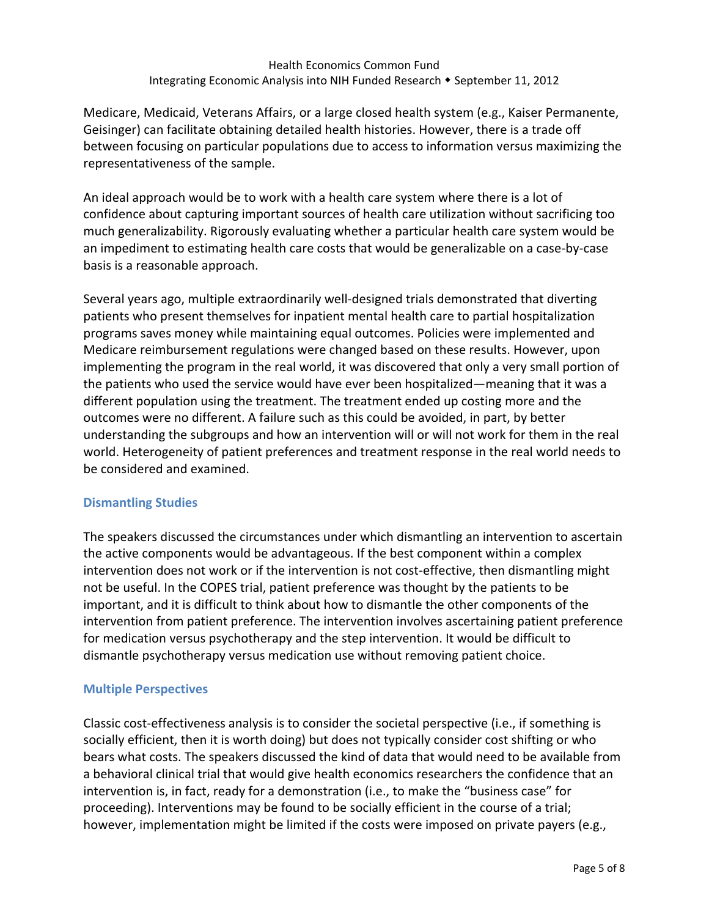Medicare, Medicaid, Veterans Affairs, or a large closed health system (e.g., Kaiser Permanente, Geisinger) can facilitate obtaining detailed health histories. However, there is a trade off between focusing on particular populations due to access to information versus maximizing the representativeness of the sample.

 An ideal approach would be to work with a health care system where there is a lot of confidence about capturing important sources of health care utilization without sacrificing too much generalizability. Rigorously evaluating whether a particular health care system would be an impediment to estimating health care costs that would be generalizable on a case‐by‐case basis is a reasonable approach.

 Several years ago, multiple extraordinarily well‐designed trials demonstrated that diverting patients who present themselves for inpatient mental health care to partial hospitalization programs saves money while maintaining equal outcomes. Policies were implemented and Medicare reimbursement regulations were changed based on these results. However, upon implementing the program in the real world, it was discovered that only a very small portion of the patients who used the service would have ever been hospitalized—meaning that it was a different population using the treatment. The treatment ended up costing more and the outcomes were no different. A failure such as this could be avoided, in part, by better understanding the subgroups and how an intervention will or will not work for them in the real world. Heterogeneity of patient preferences and treatment response in the real world needs to be considered and examined.

# **Dismantling Studies**

 The speakers discussed the circumstances under which dismantling an intervention to ascertain the active components would be advantageous. If the best component within a complex intervention does not work or if the intervention is not cost‐effective, then dismantling might not be useful. In the COPES trial, patient preference was thought by the patients to be important, and it is difficult to think about how to dismantle the other components of the intervention from patient preference. The intervention involves ascertaining patient preference for medication versus psychotherapy and the step intervention. It would be difficult to dismantle psychotherapy versus medication use without removing patient choice.

#### **Multiple Perspectives**

 Classic cost‐effectiveness analysis is to consider the societal perspective (i.e., if something is socially efficient, then it is worth doing) but does not typically consider cost shifting or who bears what costs. The speakers discussed the kind of data that would need to be available from a behavioral clinical trial that would give health economics researchers the confidence that an intervention is, in fact, ready for a demonstration (i.e., to make the "business case" for proceeding). Interventions may be found to be socially efficient in the course of a trial; however, implementation might be limited if the costs were imposed on private payers (e.g.,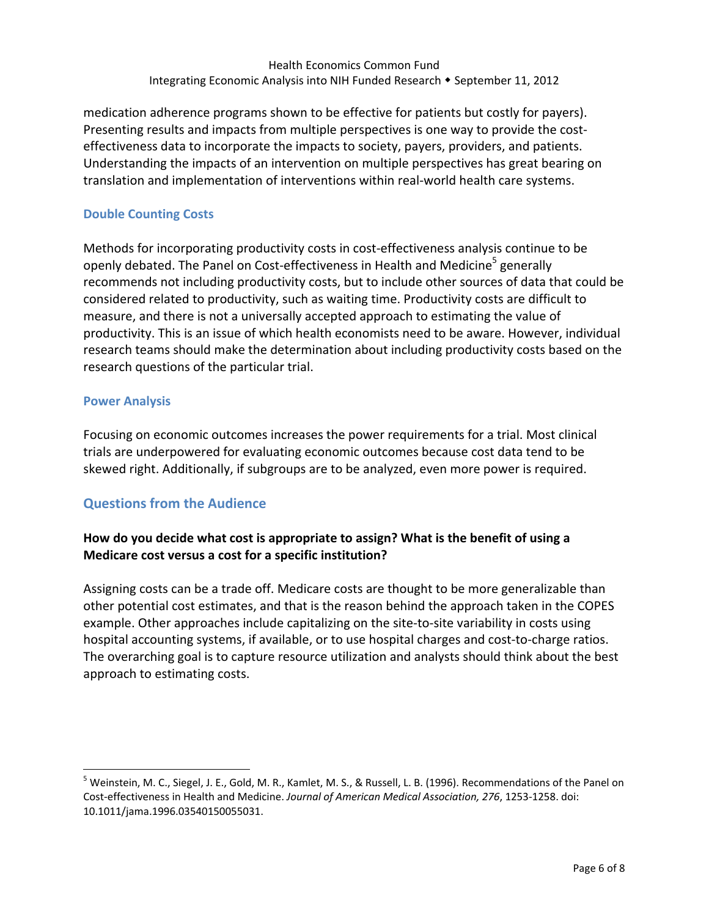medication adherence programs shown to be effective for patients but costly for payers). Presenting results and impacts from multiple perspectives is one way to provide the cost‐ effectiveness data to incorporate the impacts to society, payers, providers, and patients. Understanding the impacts of an intervention on multiple perspectives has great bearing on translation and implementation of interventions within real‐world health care systems.

## **Double Counting Costs**

 Methods for incorporating productivity costs in cost‐effectiveness analysis continue to be openly debated. The Panel on Cost-effectiveness in Health and Medicine<sup>5</sup> generally recommends not including productivity costs, but to include other sources of data that could be considered related to productivity, such as waiting time. Productivity costs are difficult to measure, and there is not a universally accepted approach to estimating the value of productivity. This is an issue of which health economists need to be aware. However, individual research teams should make the determination about including productivity costs based on the research questions of the particular trial.

#### **Power Analysis**

 Focusing on economic outcomes increases the power requirements for a trial. Most clinical trials are underpowered for evaluating economic outcomes because cost data tend to be skewed right. Additionally, if subgroups are to be analyzed, even more power is required.

# **Questions from the Audience**

# How do you decide what cost is appropriate to assign? What is the benefit of using a  **Medicare cost versus a cost for a specific institution?**

 Assigning costs can be a trade off. Medicare costs are thought to be more generalizable than other potential cost estimates, and that is the reason behind the approach taken in the COPES example. Other approaches include capitalizing on the site‐to‐site variability in costs using hospital accounting systems, if available, or to use hospital charges and cost‐to‐charge ratios. The overarching goal is to capture resource utilization and analysts should think about the best approach to estimating costs.

<sup>&</sup>lt;sup>5</sup> Weinstein, M. C., Siegel, J. E., Gold, M. R., Kamlet, M. S., & Russell, L. B. (1996). Recommendations of the Panel on  Cost‐effectiveness in Health and Medicine. *Journal of American Medical Association, 276*, 1253‐1258. doi: 10.1011/jama.1996.03540150055031.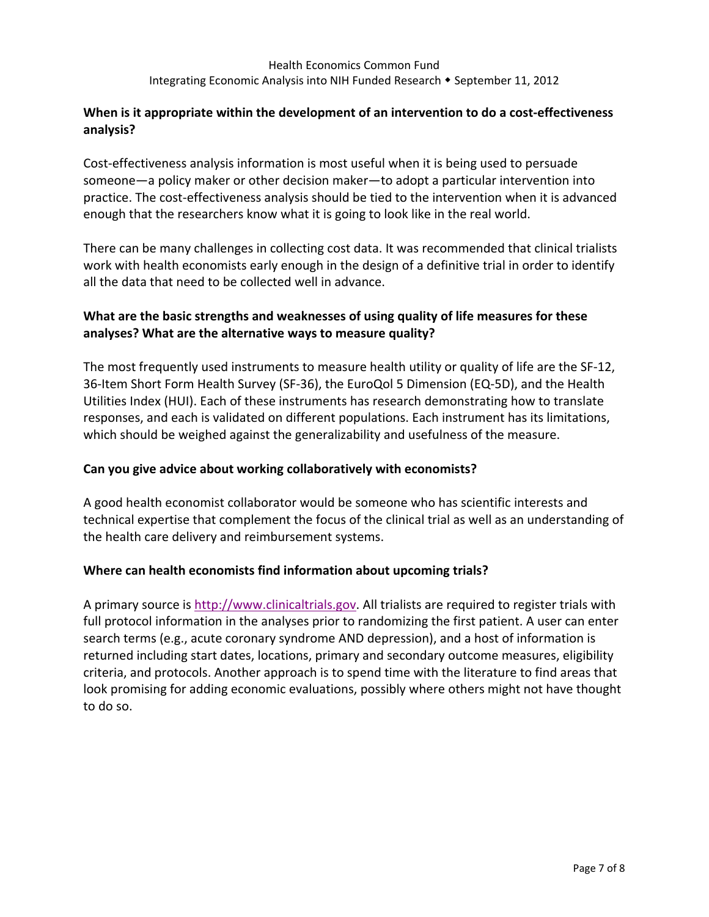## When is it appropriate within the development of an intervention to do a cost-effectiveness **analysis?**

 Cost‐effectiveness analysis information is most useful when it is being used to persuade someone—a policy maker or other decision maker—to adopt a particular intervention into practice. The cost-effectiveness analysis should be tied to the intervention when it is advanced enough that the researchers know what it is going to look like in the real world.

 There can be many challenges in collecting cost data. It was recommended that clinical trialists work with health economists early enough in the design of a definitive trial in order to identify all the data that need to be collected well in advance.

# What are the basic strengths and weaknesses of using quality of life measures for these  **analyses? What are the alternative ways to measure quality?**

 The most frequently used instruments to measure health utility or quality of life are the SF‐12, 36‐Item Short Form Health Survey (SF‐36), the EuroQol 5 Dimension (EQ‐5D), and the Health Utilities Index (HUI). Each of these instruments has research demonstrating how to translate responses, and each is validated on different populations. Each instrument has its limitations, which should be weighed against the generalizability and usefulness of the measure.

# **Can you give advice about working collaboratively with economists?**

 A good health economist collaborator would be someone who has scientific interests and technical expertise that complement the focus of the clinical trial as well as an understanding of the health care delivery and reimbursement systems.

# **Where can health economists find information about upcoming trials?**

A primary source is http://www.clinicaltrials.gov. All trialists are required to register trials with full protocol information in the analyses prior to randomizing the first patient. A user can enter search terms (e.g., acute coronary syndrome AND depression), and a host of information is returned including start dates, locations, primary and secondary outcome measures, eligibility criteria, and protocols. Another approach is to spend time with the literature to find areas that look promising for adding economic evaluations, possibly where others might not have thought to do so.